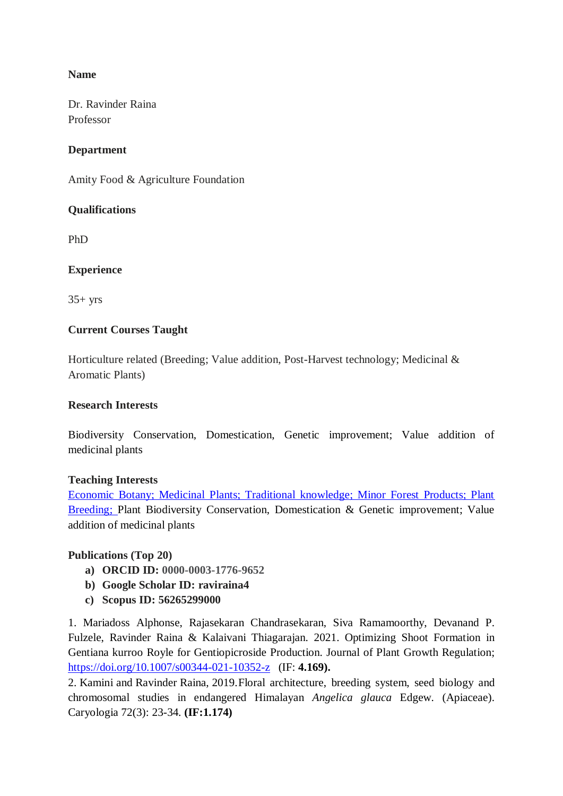## **Name**

Dr. Ravinder Raina Professor

## **Department**

Amity Food & Agriculture Foundation

## **Qualifications**

PhD

## **Experience**

 $35+$  yrs

## **Current Courses Taught**

Horticulture related (Breeding; Value addition, Post-Harvest technology; Medicinal & Aromatic Plants)

## **Research Interests**

Biodiversity Conservation, Domestication, Genetic improvement; Value addition of medicinal plants

## **Teaching Interests**

Economic Botany; Medicinal Plants; Traditional knowledge; Minor Forest Products; Plant Breeding; Plant Biodiversity Conservation, Domestication & Genetic improvement; Value addition of medicinal plants

## **Publications (Top 20)**

- **a) ORCID ID: 0000-0003-1776-9652**
- **b) Google Scholar ID: raviraina4**
- **c) Scopus ID: 56265299000**

1. Mariadoss Alphonse, Rajasekaran Chandrasekaran, Siva Ramamoorthy, Devanand P. Fulzele, Ravinder Raina & Kalaivani Thiagarajan. 2021. Optimizing Shoot Formation in Gentiana kurroo Royle for Gentiopicroside Production. Journal of Plant Growth Regulation; <https://doi.org/10.1007/s00344-021-10352-z>(IF: **4.169).** 

2. Kamini and Ravinder Raina, 2019.Floral architecture, breeding system, seed biology and chromosomal studies in endangered Himalayan *Angelica glauca* Edgew. (Apiaceae). Caryologia 72(3): 23-34. **(IF:1.174)**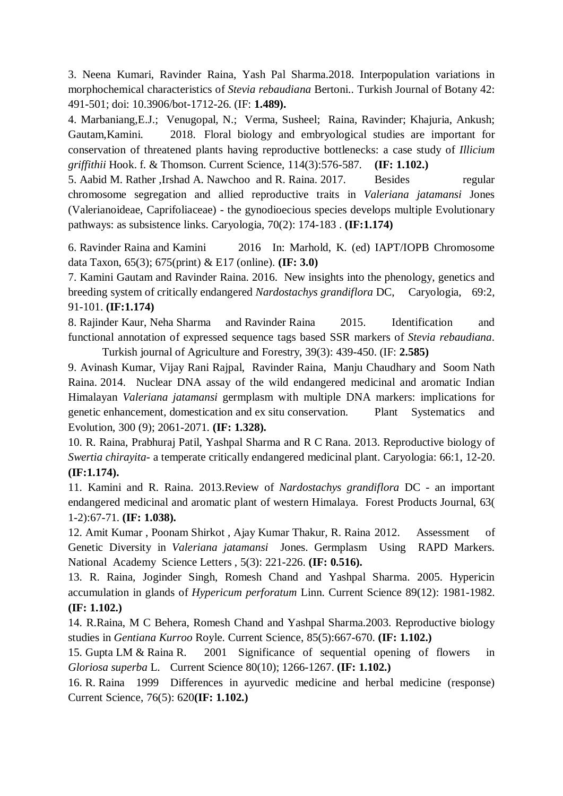3. Neena Kumari, Ravinder Raina, Yash Pal Sharma.2018. Interpopulation variations in morphochemical characteristics of *Stevia rebaudiana* Bertoni.. Turkish Journal of Botany 42: 491-501; doi: 10.3906/bot-1712-26. (IF: **1.489).** 

4. Marbaniang,E.J.; Venugopal, N.; Verma, Susheel; Raina, Ravinder; Khajuria, Ankush; Gautam,Kamini. 2018. Floral biology and embryological studies are important for conservation of threatened plants having reproductive bottlenecks: a case study of *Illicium griffithii* Hook. f. & Thomson. Current Science, 114(3):576-587. **(IF: 1.102.)**

5. Aabid M. Rather , Irshad A. Nawchoo and R. Raina. 2017. Besides regular chromosome segregation and allied reproductive traits in *Valeriana jatamansi* Jones (Valerianoideae, Caprifoliaceae) - the gynodioecious species develops multiple Evolutionary pathways: as subsistence links. Caryologia, 70(2): 174-183 . **(IF:1.174)**

6. Ravinder Raina and Kamini 2016 In: Marhold, K. (ed) IAPT/IOPB Chromosome data Taxon, 65(3); 675(print) & E17 (online). **(IF: 3.0)**

7. Kamini Gautam and Ravinder Raina. 2016. New insights into the phenology, genetics and breeding system of critically endangered *Nardostachys grandiflora* DC, Caryologia, 69:2, 91-101. **(IF:1.174)**

8. Rajinder Kaur, Neha Sharma and Ravinder Raina 2015. Identification and functional annotation of expressed sequence tags based SSR markers of *Stevia rebaudiana*. Turkish journal of Agriculture and Forestry, 39(3): 439-450. (IF: **2.585)**

9. Avinash Kumar, Vijay Rani Rajpal, Ravinder Raina, Manju Chaudhary and Soom Nath Raina. 2014. Nuclear DNA assay of the wild endangered medicinal and aromatic Indian Himalayan *Valeriana jatamansi* germplasm with multiple DNA markers: implications for genetic enhancement, domestication and ex situ conservation. Plant Systematics and Evolution, 300 (9); 2061-2071. **(IF: 1.328).**

10. R. Raina, Prabhuraj Patil, Yashpal Sharma and R C Rana. 2013. Reproductive biology of *Swertia chirayita*- a temperate critically endangered medicinal plant. Caryologia: 66:1, 12-20. **(IF:1.174).**

11. Kamini and R. Raina. 2013.Review of *Nardostachys grandiflora* DC - an important endangered medicinal and aromatic plant of western Himalaya. Forest Products Journal, 63( 1-2):67-71. **(IF: 1.038).**

12. Amit Kumar , Poonam Shirkot , Ajay Kumar Thakur, R. Raina 2012. Assessment of Genetic Diversity in *Valeriana jatamansi* Jones. Germplasm Using RAPD Markers. National Academy Science Letters , 5(3): 221-226. **(IF: 0.516).**

13. R. Raina, Joginder Singh, Romesh Chand and Yashpal Sharma. 2005. Hypericin accumulation in glands of *Hypericum perforatum* Linn. Current Science 89(12): 1981-1982. **(IF: 1.102.)**

14. R.Raina, M C Behera, Romesh Chand and Yashpal Sharma.2003. Reproductive biology studies in *Gentiana Kurroo* Royle. Current Science, 85(5):667-670. **(IF: 1.102.)**

15. Gupta LM & Raina R. 2001 Significance of sequential opening of flowers in *Gloriosa superba* L. Current Science 80(10); 1266-1267. **(IF: 1.102.)**

16. R. Raina 1999 Differences in ayurvedic medicine and herbal medicine (response) Current Science, 76(5): 620**(IF: 1.102.)**